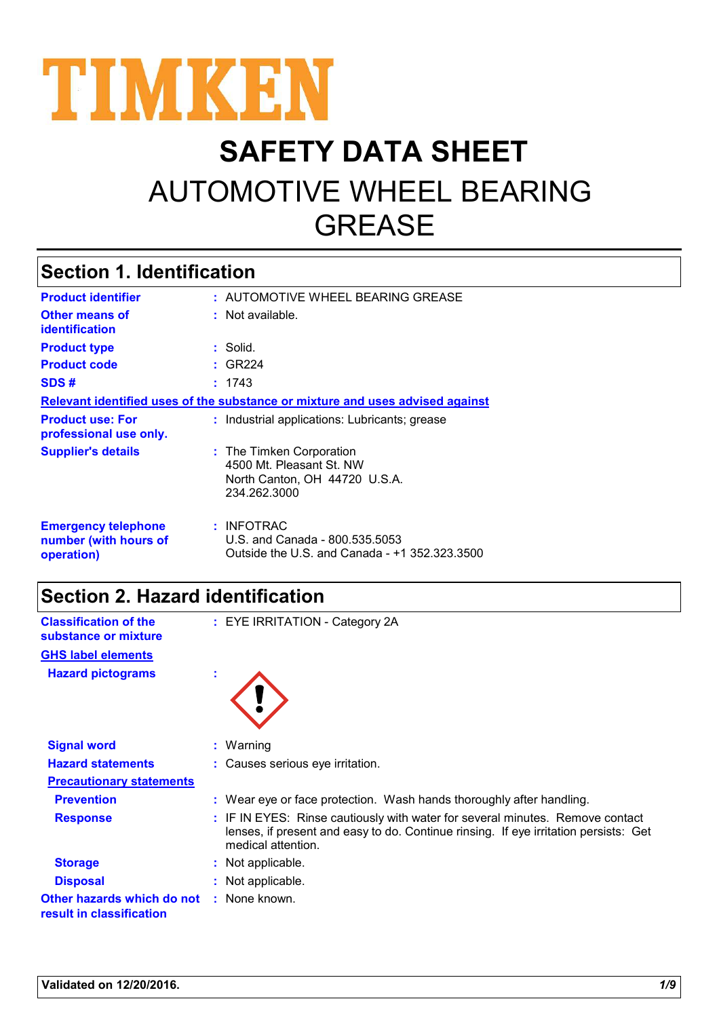

# **SAFETY DATA SHEET** AUTOMOTIVE WHEEL BEARING **GREASE**

### **Section 1. Identification**

| <b>Product identifier</b>                                                     |  | : AUTOMOTIVE WHEEL BEARING GREASE                                                                     |  |  |
|-------------------------------------------------------------------------------|--|-------------------------------------------------------------------------------------------------------|--|--|
| <b>Other means of</b><br><b>identification</b>                                |  | : Not available.                                                                                      |  |  |
| <b>Product type</b>                                                           |  | : Solid.                                                                                              |  |  |
| <b>Product code</b>                                                           |  | : GR224                                                                                               |  |  |
| SDS#                                                                          |  | : 1743                                                                                                |  |  |
| Relevant identified uses of the substance or mixture and uses advised against |  |                                                                                                       |  |  |
| <b>Product use: For</b><br>professional use only.                             |  | : Industrial applications: Lubricants; grease                                                         |  |  |
| <b>Supplier's details</b>                                                     |  | : The Timken Corporation<br>4500 Mt. Pleasant St. NW<br>North Canton, OH 44720 U.S.A.<br>234.262.3000 |  |  |
| <b>Emergency telephone</b><br>number (with hours of<br>operation)             |  | : INFOTRAC<br>U.S. and Canada - 800.535.5053<br>Outside the U.S. and Canada - +1 352.323.3500         |  |  |

### **Section 2. Hazard identification**

| <b>Classification of the</b><br>substance or mixture   | : EYE IRRITATION - Category 2A                                                                                                                                                              |
|--------------------------------------------------------|---------------------------------------------------------------------------------------------------------------------------------------------------------------------------------------------|
| <b>GHS label elements</b>                              |                                                                                                                                                                                             |
| <b>Hazard pictograms</b>                               | ÷.                                                                                                                                                                                          |
|                                                        |                                                                                                                                                                                             |
| <b>Signal word</b>                                     | $:$ Warning                                                                                                                                                                                 |
| <b>Hazard statements</b>                               | : Causes serious eye irritation.                                                                                                                                                            |
| <b>Precautionary statements</b>                        |                                                                                                                                                                                             |
| <b>Prevention</b>                                      | : Wear eye or face protection. Wash hands thoroughly after handling.                                                                                                                        |
| <b>Response</b>                                        | : IF IN EYES: Rinse cautiously with water for several minutes. Remove contact<br>lenses, if present and easy to do. Continue rinsing. If eye irritation persists: Get<br>medical attention. |
| <b>Storage</b>                                         | : Not applicable.                                                                                                                                                                           |
| <b>Disposal</b>                                        | : Not applicable.                                                                                                                                                                           |
| Other hazards which do not<br>result in classification | : None known.                                                                                                                                                                               |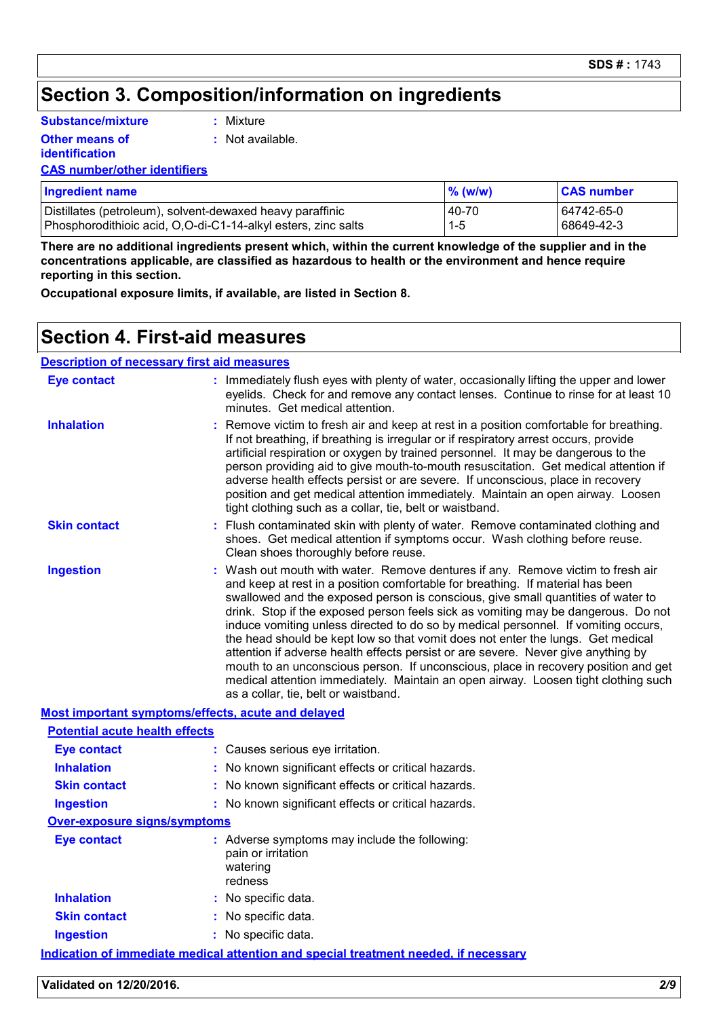### **Section 3. Composition/information on ingredients**

**Substance/mixture**

**Other means of** 

**:** Mixture

**:** Not available.

**identification**

**CAS number/other identifiers**

| <b>Ingredient name</b>                                        | $%$ (w/w) | <b>CAS number</b> |
|---------------------------------------------------------------|-----------|-------------------|
| Distillates (petroleum), solvent-dewaxed heavy paraffinic     | 40-70     | 64742-65-0        |
| Phosphorodithioic acid, O,O-di-C1-14-alkyl esters, zinc salts | $1 - 5$   | 68649-42-3        |

**There are no additional ingredients present which, within the current knowledge of the supplier and in the concentrations applicable, are classified as hazardous to health or the environment and hence require reporting in this section.**

**Occupational exposure limits, if available, are listed in Section 8.**

### **Section 4. First-aid measures**

#### **Description of necessary first aid measures**

| <b>Eye contact</b>                                 |  | : Immediately flush eyes with plenty of water, occasionally lifting the upper and lower<br>eyelids. Check for and remove any contact lenses. Continue to rinse for at least 10<br>minutes. Get medical attention.                                                                                                                                                                                                                                                                                                                                                                                                                                                                                                                                                                                                          |  |
|----------------------------------------------------|--|----------------------------------------------------------------------------------------------------------------------------------------------------------------------------------------------------------------------------------------------------------------------------------------------------------------------------------------------------------------------------------------------------------------------------------------------------------------------------------------------------------------------------------------------------------------------------------------------------------------------------------------------------------------------------------------------------------------------------------------------------------------------------------------------------------------------------|--|
| <b>Inhalation</b>                                  |  | Remove victim to fresh air and keep at rest in a position comfortable for breathing.<br>If not breathing, if breathing is irregular or if respiratory arrest occurs, provide<br>artificial respiration or oxygen by trained personnel. It may be dangerous to the<br>person providing aid to give mouth-to-mouth resuscitation. Get medical attention if<br>adverse health effects persist or are severe. If unconscious, place in recovery<br>position and get medical attention immediately. Maintain an open airway. Loosen<br>tight clothing such as a collar, tie, belt or waistband.                                                                                                                                                                                                                                 |  |
| <b>Skin contact</b>                                |  | Flush contaminated skin with plenty of water. Remove contaminated clothing and<br>shoes. Get medical attention if symptoms occur. Wash clothing before reuse.<br>Clean shoes thoroughly before reuse.                                                                                                                                                                                                                                                                                                                                                                                                                                                                                                                                                                                                                      |  |
| <b>Ingestion</b>                                   |  | Wash out mouth with water. Remove dentures if any. Remove victim to fresh air<br>and keep at rest in a position comfortable for breathing. If material has been<br>swallowed and the exposed person is conscious, give small quantities of water to<br>drink. Stop if the exposed person feels sick as vomiting may be dangerous. Do not<br>induce vomiting unless directed to do so by medical personnel. If vomiting occurs,<br>the head should be kept low so that vomit does not enter the lungs. Get medical<br>attention if adverse health effects persist or are severe. Never give anything by<br>mouth to an unconscious person. If unconscious, place in recovery position and get<br>medical attention immediately. Maintain an open airway. Loosen tight clothing such<br>as a collar, tie, belt or waistband. |  |
| Most important symptoms/effects, acute and delayed |  |                                                                                                                                                                                                                                                                                                                                                                                                                                                                                                                                                                                                                                                                                                                                                                                                                            |  |
| <b>Potential acute health effects</b>              |  |                                                                                                                                                                                                                                                                                                                                                                                                                                                                                                                                                                                                                                                                                                                                                                                                                            |  |
| <b>Eye contact</b>                                 |  | : Causes serious eye irritation.                                                                                                                                                                                                                                                                                                                                                                                                                                                                                                                                                                                                                                                                                                                                                                                           |  |
| <b>Inhalation</b>                                  |  | No known significant effects or critical hazards.                                                                                                                                                                                                                                                                                                                                                                                                                                                                                                                                                                                                                                                                                                                                                                          |  |
| <b>Skin contact</b>                                |  | : No known significant effects or critical hazards.                                                                                                                                                                                                                                                                                                                                                                                                                                                                                                                                                                                                                                                                                                                                                                        |  |
| <b>Ingestion</b>                                   |  | : No known significant effects or critical hazards.                                                                                                                                                                                                                                                                                                                                                                                                                                                                                                                                                                                                                                                                                                                                                                        |  |
| <b>Over-exposure signs/symptoms</b>                |  |                                                                                                                                                                                                                                                                                                                                                                                                                                                                                                                                                                                                                                                                                                                                                                                                                            |  |
| <b>Eye contact</b>                                 |  | : Adverse symptoms may include the following:<br>pain or irritation<br>watering<br>redness                                                                                                                                                                                                                                                                                                                                                                                                                                                                                                                                                                                                                                                                                                                                 |  |
| <b>Inhalation</b>                                  |  | : No specific data.                                                                                                                                                                                                                                                                                                                                                                                                                                                                                                                                                                                                                                                                                                                                                                                                        |  |
| <b>Skin contact</b>                                |  | : No specific data.                                                                                                                                                                                                                                                                                                                                                                                                                                                                                                                                                                                                                                                                                                                                                                                                        |  |
| <b>Ingestion</b>                                   |  | : No specific data.                                                                                                                                                                                                                                                                                                                                                                                                                                                                                                                                                                                                                                                                                                                                                                                                        |  |
|                                                    |  | <u>Indication of immediate medical attention and special treatment needed, if necessary</u>                                                                                                                                                                                                                                                                                                                                                                                                                                                                                                                                                                                                                                                                                                                                |  |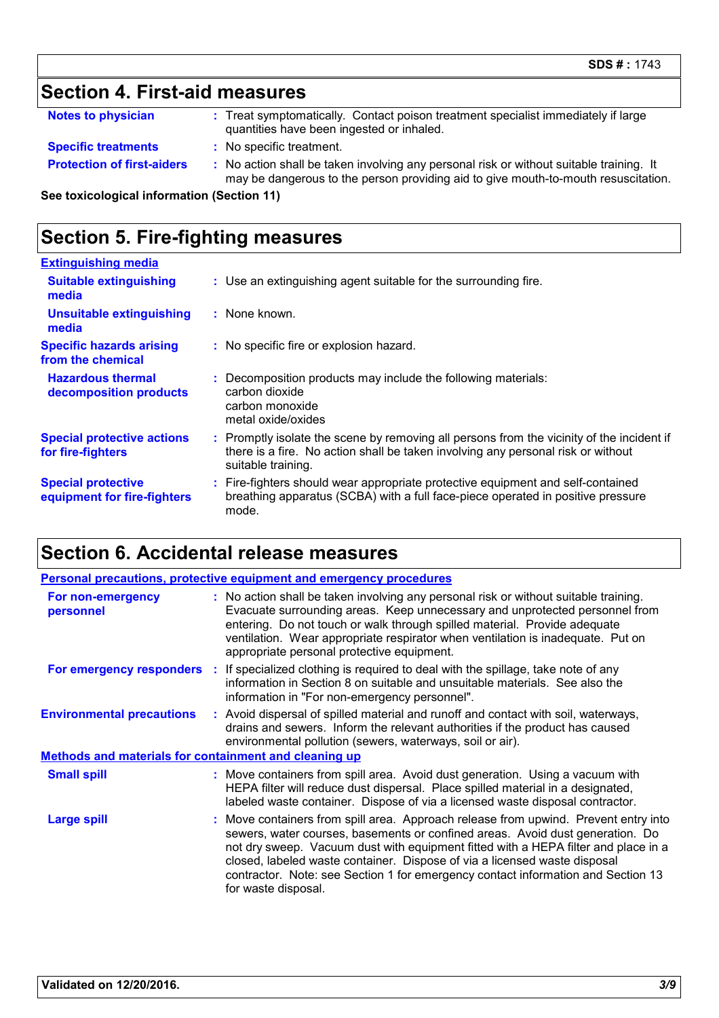## **Section 4. First-aid measures**

| <b>Notes to physician</b> | Treat symptomatically. Contact poison treatment specialist immediately if large |
|---------------------------|---------------------------------------------------------------------------------|
|                           | quantities have been ingested or inhaled.                                       |

- **Specific treatments :** No specific treatment.
- **Protection of first-aiders** : No action shall be taken involving any personal risk or without suitable training. It may be dangerous to the person providing aid to give mouth-to-mouth resuscitation.

**See toxicological information (Section 11)**

### **Section 5. Fire-fighting measures**

| : Use an extinguishing agent suitable for the surrounding fire.                                                                                                                                     |
|-----------------------------------------------------------------------------------------------------------------------------------------------------------------------------------------------------|
| $:$ None known.                                                                                                                                                                                     |
| : No specific fire or explosion hazard.                                                                                                                                                             |
| Decomposition products may include the following materials:<br>carbon dioxide<br>carbon monoxide<br>metal oxide/oxides                                                                              |
| : Promptly isolate the scene by removing all persons from the vicinity of the incident if<br>there is a fire. No action shall be taken involving any personal risk or without<br>suitable training. |
| : Fire-fighters should wear appropriate protective equipment and self-contained<br>breathing apparatus (SCBA) with a full face-piece operated in positive pressure<br>mode.                         |
|                                                                                                                                                                                                     |

### **Section 6. Accidental release measures**

|                                                       |  | <b>Personal precautions, protective equipment and emergency procedures</b>                                                                                                                                                                                                                                                                                                                                                                         |  |
|-------------------------------------------------------|--|----------------------------------------------------------------------------------------------------------------------------------------------------------------------------------------------------------------------------------------------------------------------------------------------------------------------------------------------------------------------------------------------------------------------------------------------------|--|
| For non-emergency<br>personnel                        |  | : No action shall be taken involving any personal risk or without suitable training.<br>Evacuate surrounding areas. Keep unnecessary and unprotected personnel from<br>entering. Do not touch or walk through spilled material. Provide adequate<br>ventilation. Wear appropriate respirator when ventilation is inadequate. Put on<br>appropriate personal protective equipment.                                                                  |  |
|                                                       |  | <b>For emergency responders</b> : If specialized clothing is required to deal with the spillage, take note of any<br>information in Section 8 on suitable and unsuitable materials. See also the<br>information in "For non-emergency personnel".                                                                                                                                                                                                  |  |
| <b>Environmental precautions</b>                      |  | : Avoid dispersal of spilled material and runoff and contact with soil, waterways,<br>drains and sewers. Inform the relevant authorities if the product has caused<br>environmental pollution (sewers, waterways, soil or air).                                                                                                                                                                                                                    |  |
| Methods and materials for containment and cleaning up |  |                                                                                                                                                                                                                                                                                                                                                                                                                                                    |  |
| <b>Small spill</b>                                    |  | : Move containers from spill area. Avoid dust generation. Using a vacuum with<br>HEPA filter will reduce dust dispersal. Place spilled material in a designated,<br>labeled waste container. Dispose of via a licensed waste disposal contractor.                                                                                                                                                                                                  |  |
| Large spill                                           |  | : Move containers from spill area. Approach release from upwind. Prevent entry into<br>sewers, water courses, basements or confined areas. Avoid dust generation. Do<br>not dry sweep. Vacuum dust with equipment fitted with a HEPA filter and place in a<br>closed, labeled waste container. Dispose of via a licensed waste disposal<br>contractor. Note: see Section 1 for emergency contact information and Section 13<br>for waste disposal. |  |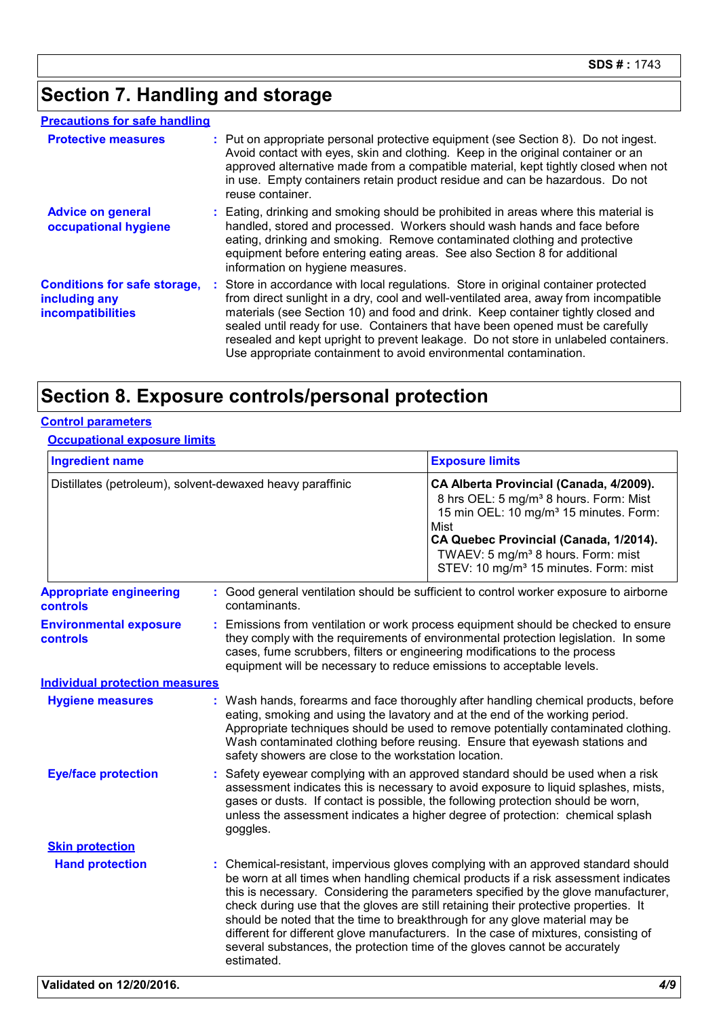### **Section 7. Handling and storage**

#### **Precautions for safe handling**

| <b>Protective measures</b>                                                       | : Put on appropriate personal protective equipment (see Section 8). Do not ingest.<br>Avoid contact with eyes, skin and clothing. Keep in the original container or an<br>approved alternative made from a compatible material, kept tightly closed when not<br>in use. Empty containers retain product residue and can be hazardous. Do not<br>reuse container.                                                                                                                                              |
|----------------------------------------------------------------------------------|---------------------------------------------------------------------------------------------------------------------------------------------------------------------------------------------------------------------------------------------------------------------------------------------------------------------------------------------------------------------------------------------------------------------------------------------------------------------------------------------------------------|
| <b>Advice on general</b><br>occupational hygiene                                 | : Eating, drinking and smoking should be prohibited in areas where this material is<br>handled, stored and processed. Workers should wash hands and face before<br>eating, drinking and smoking. Remove contaminated clothing and protective<br>equipment before entering eating areas. See also Section 8 for additional<br>information on hygiene measures.                                                                                                                                                 |
| <b>Conditions for safe storage,</b><br>including any<br><b>incompatibilities</b> | : Store in accordance with local regulations. Store in original container protected<br>from direct sunlight in a dry, cool and well-ventilated area, away from incompatible<br>materials (see Section 10) and food and drink. Keep container tightly closed and<br>sealed until ready for use. Containers that have been opened must be carefully<br>resealed and kept upright to prevent leakage. Do not store in unlabeled containers.<br>Use appropriate containment to avoid environmental contamination. |

### **Section 8. Exposure controls/personal protection**

#### **Control parameters**

#### **Occupational exposure limits**

| <b>Ingredient name</b><br>Distillates (petroleum), solvent-dewaxed heavy paraffinic |                                                                                                                                                     | <b>Exposure limits</b>                                                                                                                                                                                                                                                                                                                                                                                                                                                                                                                                                                                      |  |
|-------------------------------------------------------------------------------------|-----------------------------------------------------------------------------------------------------------------------------------------------------|-------------------------------------------------------------------------------------------------------------------------------------------------------------------------------------------------------------------------------------------------------------------------------------------------------------------------------------------------------------------------------------------------------------------------------------------------------------------------------------------------------------------------------------------------------------------------------------------------------------|--|
|                                                                                     |                                                                                                                                                     | CA Alberta Provincial (Canada, 4/2009).<br>8 hrs OEL: 5 mg/m <sup>3</sup> 8 hours. Form: Mist<br>15 min OEL: 10 mg/m <sup>3</sup> 15 minutes. Form:<br>Mist<br>CA Quebec Provincial (Canada, 1/2014).<br>TWAEV: 5 mg/m <sup>3</sup> 8 hours. Form: mist<br>STEV: 10 mg/m <sup>3</sup> 15 minutes. Form: mist                                                                                                                                                                                                                                                                                                |  |
| <b>Appropriate engineering</b><br>controls                                          | contaminants.                                                                                                                                       | : Good general ventilation should be sufficient to control worker exposure to airborne                                                                                                                                                                                                                                                                                                                                                                                                                                                                                                                      |  |
| <b>Environmental exposure</b><br>controls                                           | cases, fume scrubbers, filters or engineering modifications to the process<br>equipment will be necessary to reduce emissions to acceptable levels. | : Emissions from ventilation or work process equipment should be checked to ensure<br>they comply with the requirements of environmental protection legislation. In some                                                                                                                                                                                                                                                                                                                                                                                                                                    |  |
| <b>Individual protection measures</b>                                               |                                                                                                                                                     |                                                                                                                                                                                                                                                                                                                                                                                                                                                                                                                                                                                                             |  |
| <b>Hygiene measures</b>                                                             | safety showers are close to the workstation location.                                                                                               | : Wash hands, forearms and face thoroughly after handling chemical products, before<br>eating, smoking and using the lavatory and at the end of the working period.<br>Appropriate techniques should be used to remove potentially contaminated clothing.<br>Wash contaminated clothing before reusing. Ensure that eyewash stations and                                                                                                                                                                                                                                                                    |  |
| <b>Eye/face protection</b>                                                          | goggles.                                                                                                                                            | Safety eyewear complying with an approved standard should be used when a risk<br>assessment indicates this is necessary to avoid exposure to liquid splashes, mists,<br>gases or dusts. If contact is possible, the following protection should be worn,<br>unless the assessment indicates a higher degree of protection: chemical splash                                                                                                                                                                                                                                                                  |  |
| <b>Skin protection</b>                                                              |                                                                                                                                                     |                                                                                                                                                                                                                                                                                                                                                                                                                                                                                                                                                                                                             |  |
| <b>Hand protection</b>                                                              | estimated.                                                                                                                                          | : Chemical-resistant, impervious gloves complying with an approved standard should<br>be worn at all times when handling chemical products if a risk assessment indicates<br>this is necessary. Considering the parameters specified by the glove manufacturer,<br>check during use that the gloves are still retaining their protective properties. It<br>should be noted that the time to breakthrough for any glove material may be<br>different for different glove manufacturers. In the case of mixtures, consisting of<br>several substances, the protection time of the gloves cannot be accurately |  |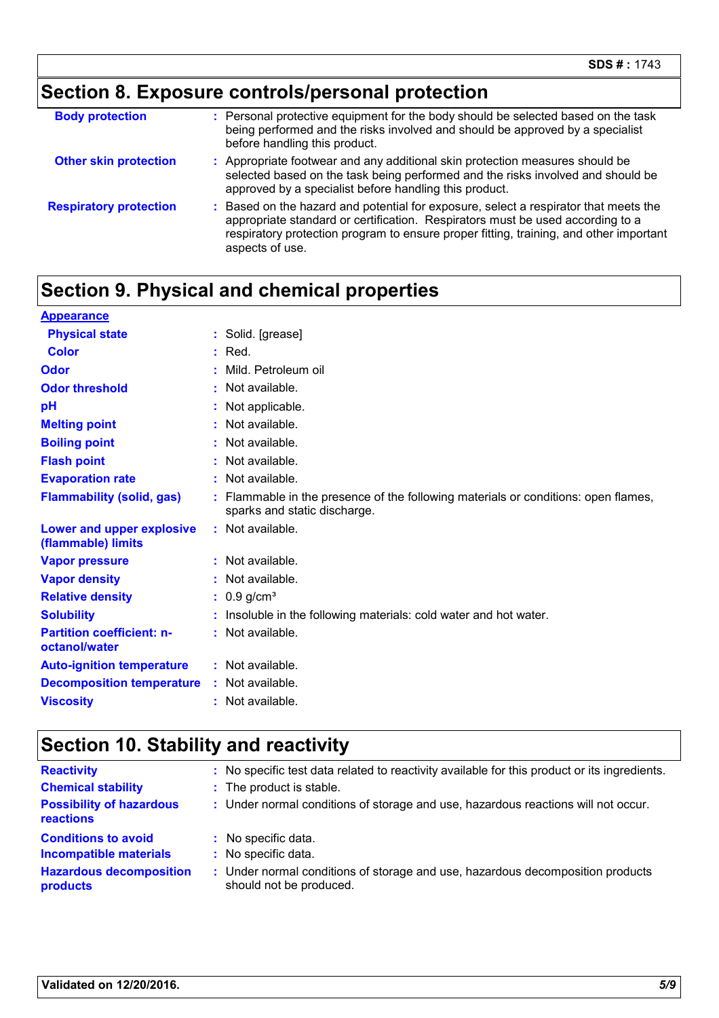# **Section 8. Exposure controls/personal protection**

| <b>Body protection</b>        | : Personal protective equipment for the body should be selected based on the task<br>being performed and the risks involved and should be approved by a specialist<br>before handling this product.                                                                                 |
|-------------------------------|-------------------------------------------------------------------------------------------------------------------------------------------------------------------------------------------------------------------------------------------------------------------------------------|
| <b>Other skin protection</b>  | : Appropriate footwear and any additional skin protection measures should be<br>selected based on the task being performed and the risks involved and should be<br>approved by a specialist before handling this product.                                                           |
| <b>Respiratory protection</b> | : Based on the hazard and potential for exposure, select a respirator that meets the<br>appropriate standard or certification. Respirators must be used according to a<br>respiratory protection program to ensure proper fitting, training, and other important<br>aspects of use. |

### **Section 9. Physical and chemical properties**

| <b>Appearance</b>                                      |                                                                                                                    |
|--------------------------------------------------------|--------------------------------------------------------------------------------------------------------------------|
| <b>Physical state</b>                                  | : Solid. [grease]                                                                                                  |
| Color                                                  | $:$ Red.                                                                                                           |
| Odor                                                   | : Mild. Petroleum oil                                                                                              |
| <b>Odor threshold</b>                                  | $:$ Not available.                                                                                                 |
| pH                                                     | : Not applicable.                                                                                                  |
| <b>Melting point</b>                                   | $:$ Not available.                                                                                                 |
| <b>Boiling point</b>                                   | : Not available.                                                                                                   |
| <b>Flash point</b>                                     | : Not available.                                                                                                   |
| <b>Evaporation rate</b>                                | : Not available.                                                                                                   |
| <b>Flammability (solid, gas)</b>                       | : Flammable in the presence of the following materials or conditions: open flames,<br>sparks and static discharge. |
| <b>Lower and upper explosive</b><br>(flammable) limits | : Not available.                                                                                                   |
| <b>Vapor pressure</b>                                  | : Not available.                                                                                                   |
| <b>Vapor density</b>                                   | : Not available.                                                                                                   |
| <b>Relative density</b>                                | : $0.9$ g/cm <sup>3</sup>                                                                                          |
| <b>Solubility</b>                                      | Insoluble in the following materials: cold water and hot water.                                                    |
| <b>Partition coefficient: n-</b><br>octanol/water      | : Not available.                                                                                                   |
| <b>Auto-ignition temperature</b>                       | : Not available.                                                                                                   |
| <b>Decomposition temperature</b>                       | : Not available.                                                                                                   |
| <b>Viscosity</b>                                       | $:$ Not available.                                                                                                 |

### **Section 10. Stability and reactivity**

| <b>Reactivity</b><br><b>Chemical stability</b><br><b>Possibility of hazardous</b><br>reactions | : No specific test data related to reactivity available for this product or its ingredients.<br>: The product is stable.<br>: Under normal conditions of storage and use, hazardous reactions will not occur. |
|------------------------------------------------------------------------------------------------|---------------------------------------------------------------------------------------------------------------------------------------------------------------------------------------------------------------|
| <b>Conditions to avoid</b>                                                                     | : No specific data.                                                                                                                                                                                           |
| <b>Incompatible materials</b>                                                                  | : No specific data.                                                                                                                                                                                           |
| <b>Hazardous decomposition</b>                                                                 | : Under normal conditions of storage and use, hazardous decomposition products                                                                                                                                |
| products                                                                                       | should not be produced.                                                                                                                                                                                       |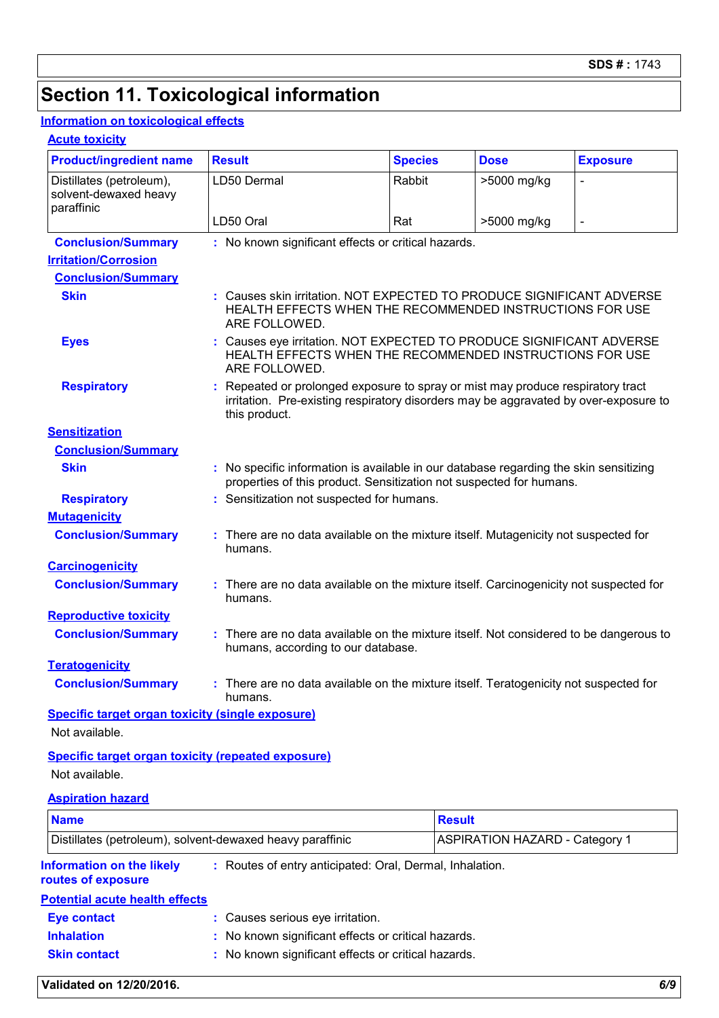### **Section 11. Toxicological information**

#### **Information on toxicological effects**

#### **Acute toxicity**

| <b>Product/ingredient name</b>                                  | <b>Result</b>                                                                                                                                                                          | <b>Species</b> | <b>Dose</b> | <b>Exposure</b>     |  |  |
|-----------------------------------------------------------------|----------------------------------------------------------------------------------------------------------------------------------------------------------------------------------------|----------------|-------------|---------------------|--|--|
| Distillates (petroleum),<br>solvent-dewaxed heavy<br>paraffinic | LD50 Dermal                                                                                                                                                                            | Rabbit         | >5000 mg/kg |                     |  |  |
|                                                                 | LD50 Oral                                                                                                                                                                              | Rat            | >5000 mg/kg | $\bar{\phantom{a}}$ |  |  |
| <b>Conclusion/Summary</b>                                       | : No known significant effects or critical hazards.                                                                                                                                    |                |             |                     |  |  |
| <b>Irritation/Corrosion</b>                                     |                                                                                                                                                                                        |                |             |                     |  |  |
| <b>Conclusion/Summary</b>                                       |                                                                                                                                                                                        |                |             |                     |  |  |
| <b>Skin</b>                                                     | Causes skin irritation. NOT EXPECTED TO PRODUCE SIGNIFICANT ADVERSE<br>HEALTH EFFECTS WHEN THE RECOMMENDED INSTRUCTIONS FOR USE<br>ARE FOLLOWED.                                       |                |             |                     |  |  |
| <b>Eyes</b>                                                     | Causes eye irritation. NOT EXPECTED TO PRODUCE SIGNIFICANT ADVERSE<br>HEALTH EFFECTS WHEN THE RECOMMENDED INSTRUCTIONS FOR USE<br>ARE FOLLOWED.                                        |                |             |                     |  |  |
| <b>Respiratory</b>                                              | Repeated or prolonged exposure to spray or mist may produce respiratory tract<br>irritation. Pre-existing respiratory disorders may be aggravated by over-exposure to<br>this product. |                |             |                     |  |  |
| <b>Sensitization</b>                                            |                                                                                                                                                                                        |                |             |                     |  |  |
| <b>Conclusion/Summary</b>                                       |                                                                                                                                                                                        |                |             |                     |  |  |
| <b>Skin</b>                                                     | No specific information is available in our database regarding the skin sensitizing<br>÷.<br>properties of this product. Sensitization not suspected for humans.                       |                |             |                     |  |  |
| <b>Respiratory</b>                                              | Sensitization not suspected for humans.                                                                                                                                                |                |             |                     |  |  |
| <b>Mutagenicity</b>                                             |                                                                                                                                                                                        |                |             |                     |  |  |
| <b>Conclusion/Summary</b>                                       | There are no data available on the mixture itself. Mutagenicity not suspected for<br>humans.                                                                                           |                |             |                     |  |  |
| <b>Carcinogenicity</b>                                          |                                                                                                                                                                                        |                |             |                     |  |  |
| <b>Conclusion/Summary</b>                                       | : There are no data available on the mixture itself. Carcinogenicity not suspected for<br>humans.                                                                                      |                |             |                     |  |  |
| <b>Reproductive toxicity</b>                                    |                                                                                                                                                                                        |                |             |                     |  |  |
| <b>Conclusion/Summary</b>                                       | There are no data available on the mixture itself. Not considered to be dangerous to<br>humans, according to our database.                                                             |                |             |                     |  |  |
| <b>Teratogenicity</b>                                           |                                                                                                                                                                                        |                |             |                     |  |  |
| <b>Conclusion/Summary</b>                                       | There are no data available on the mixture itself. Teratogenicity not suspected for<br>humans.                                                                                         |                |             |                     |  |  |
| <b>Specific target organ toxicity (single exposure)</b>         |                                                                                                                                                                                        |                |             |                     |  |  |

Not available.

#### **Specific target organ toxicity (repeated exposure)** Not available.

#### **Aspiration hazard**

| <b>Name</b>                                                                                                        |                                                     | <b>Result</b>                                       |  |  |
|--------------------------------------------------------------------------------------------------------------------|-----------------------------------------------------|-----------------------------------------------------|--|--|
| Distillates (petroleum), solvent-dewaxed heavy paraffinic                                                          |                                                     | <b>ASPIRATION HAZARD - Category 1</b>               |  |  |
| <b>Information on the likely</b><br>: Routes of entry anticipated: Oral, Dermal, Inhalation.<br>routes of exposure |                                                     |                                                     |  |  |
| <b>Potential acute health effects</b>                                                                              |                                                     |                                                     |  |  |
| <b>Eye contact</b>                                                                                                 | : Causes serious eye irritation.                    |                                                     |  |  |
| <b>Inhalation</b>                                                                                                  |                                                     | : No known significant effects or critical hazards. |  |  |
| <b>Skin contact</b>                                                                                                | : No known significant effects or critical hazards. |                                                     |  |  |

#### **Validated on 12/20/2016.** *6/9*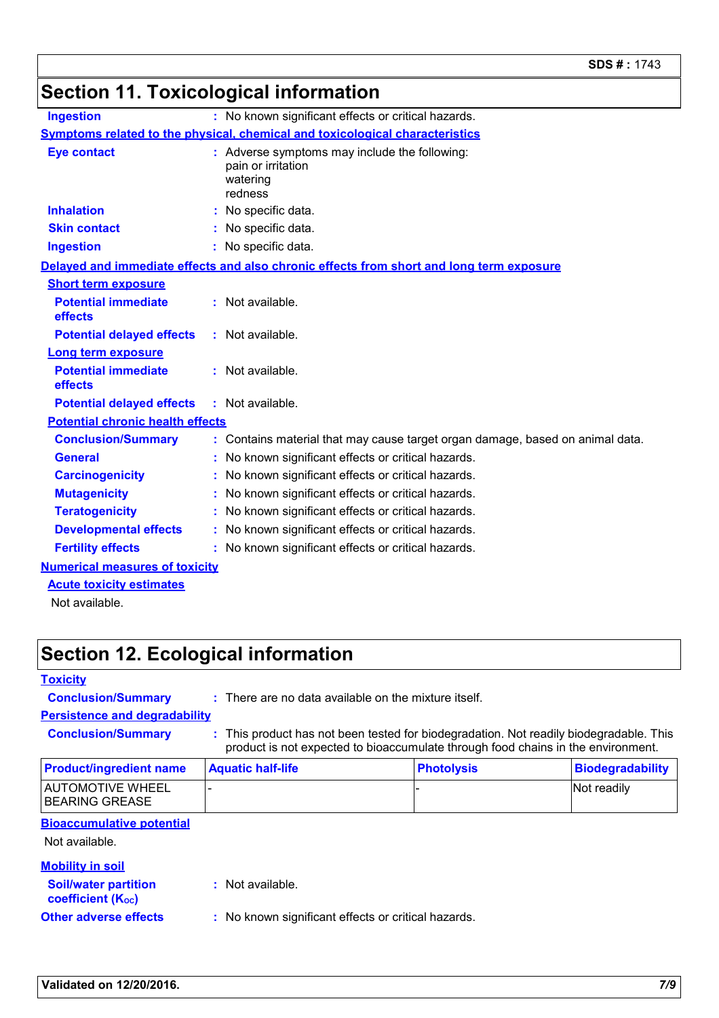### **Section 11. Toxicological information**

| <b>Ingestion</b>                                                                    |  | : No known significant effects or critical hazards.                                        |  |  |
|-------------------------------------------------------------------------------------|--|--------------------------------------------------------------------------------------------|--|--|
| <b>Symptoms related to the physical, chemical and toxicological characteristics</b> |  |                                                                                            |  |  |
| <b>Eye contact</b>                                                                  |  | : Adverse symptoms may include the following:<br>pain or irritation<br>watering<br>redness |  |  |
| <b>Inhalation</b>                                                                   |  | No specific data.                                                                          |  |  |
| <b>Skin contact</b>                                                                 |  | : No specific data.                                                                        |  |  |
| <b>Ingestion</b>                                                                    |  | : No specific data.                                                                        |  |  |
|                                                                                     |  | Delayed and immediate effects and also chronic effects from short and long term exposure   |  |  |
| <b>Short term exposure</b>                                                          |  |                                                                                            |  |  |
| <b>Potential immediate</b><br>effects                                               |  | : Not available.                                                                           |  |  |
| <b>Potential delayed effects</b>                                                    |  | $:$ Not available.                                                                         |  |  |
| <b>Long term exposure</b>                                                           |  |                                                                                            |  |  |
| <b>Potential immediate</b><br>effects                                               |  | : Not available.                                                                           |  |  |
| <b>Potential delayed effects</b>                                                    |  | $:$ Not available.                                                                         |  |  |
| <b>Potential chronic health effects</b>                                             |  |                                                                                            |  |  |
| <b>Conclusion/Summary</b>                                                           |  | : Contains material that may cause target organ damage, based on animal data.              |  |  |
| <b>General</b>                                                                      |  | : No known significant effects or critical hazards.                                        |  |  |
| <b>Carcinogenicity</b>                                                              |  | No known significant effects or critical hazards.                                          |  |  |
| <b>Mutagenicity</b>                                                                 |  | : No known significant effects or critical hazards.                                        |  |  |
| <b>Teratogenicity</b>                                                               |  | : No known significant effects or critical hazards.                                        |  |  |
| <b>Developmental effects</b>                                                        |  | : No known significant effects or critical hazards.                                        |  |  |
| <b>Fertility effects</b>                                                            |  | : No known significant effects or critical hazards.                                        |  |  |
| <b>Numerical measures of toxicity</b>                                               |  |                                                                                            |  |  |
| <b>Acute toxicity estimates</b>                                                     |  |                                                                                            |  |  |

Not available.

### **Section 12. Ecological information**

**Toxicity**

**Conclusion/Summary :** There are no data available on the mixture itself.

**Persistence and degradability**

**Conclusion/Summary :** This product has not been tested for biodegradation. Not readily biodegradable. This product is not expected to bioaccumulate through food chains in the environment.

| AUTOMOTIVE WHEEL<br>- |             |
|-----------------------|-------------|
| BEARING GREASE        | Not readily |

#### **Bioaccumulative potential**

Not available.

#### **Mobility in soil**

| <b>Soil/water partition</b> | : Not available.     |
|-----------------------------|----------------------|
| <b>coefficient (Koc)</b>    |                      |
| Othar advarea affacte       | • No known eignifies |

**Other adverse effects :** No known significant effects or critical hazards.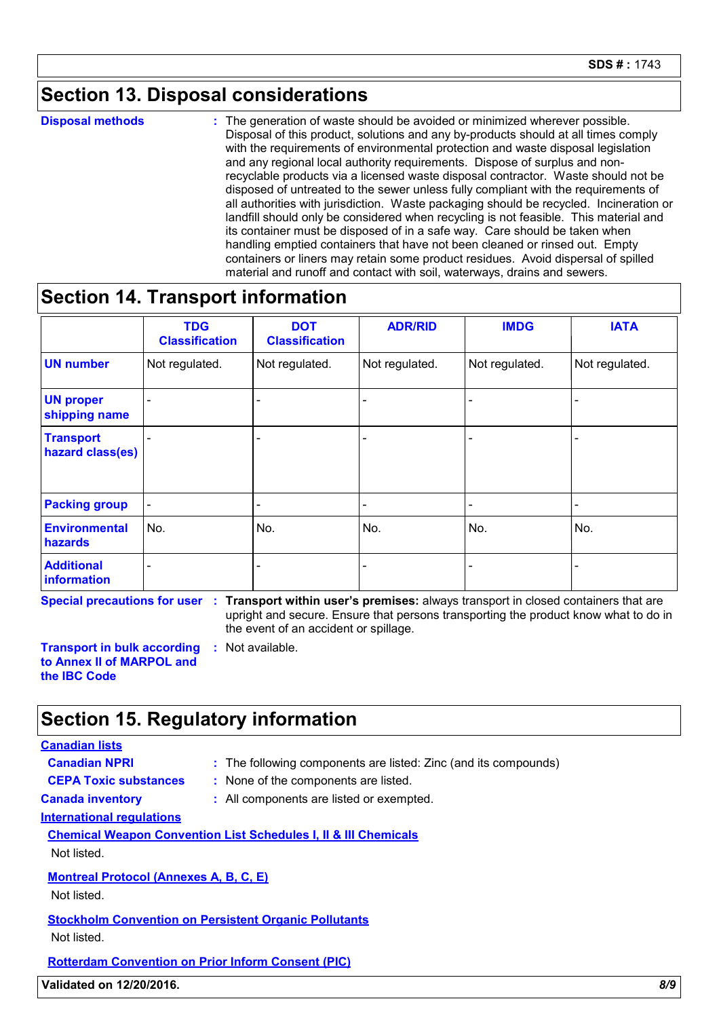### **Section 13. Disposal considerations**

**Disposal methods :**

The generation of waste should be avoided or minimized wherever possible. Disposal of this product, solutions and any by-products should at all times comply with the requirements of environmental protection and waste disposal legislation and any regional local authority requirements. Dispose of surplus and nonrecyclable products via a licensed waste disposal contractor. Waste should not be disposed of untreated to the sewer unless fully compliant with the requirements of all authorities with jurisdiction. Waste packaging should be recycled. Incineration or landfill should only be considered when recycling is not feasible. This material and its container must be disposed of in a safe way. Care should be taken when handling emptied containers that have not been cleaned or rinsed out. Empty containers or liners may retain some product residues. Avoid dispersal of spilled material and runoff and contact with soil, waterways, drains and sewers.

### **Section 14. Transport information**

|                                      | <b>TDG</b><br><b>Classification</b> | <b>DOT</b><br><b>Classification</b> | <b>ADR/RID</b> | <b>IMDG</b>    | <b>IATA</b>    |
|--------------------------------------|-------------------------------------|-------------------------------------|----------------|----------------|----------------|
| <b>UN number</b>                     | Not regulated.                      | Not regulated.                      | Not regulated. | Not regulated. | Not regulated. |
| <b>UN proper</b><br>shipping name    |                                     | ٠                                   |                |                |                |
| <b>Transport</b><br>hazard class(es) |                                     | $\overline{\phantom{0}}$            |                |                |                |
| <b>Packing group</b>                 | $\blacksquare$                      | $\overline{\phantom{a}}$            |                |                |                |
| <b>Environmental</b><br>hazards      | No.                                 | No.                                 | No.            | No.            | No.            |
| <b>Additional</b><br>information     |                                     | $\overline{\phantom{0}}$            |                |                |                |

**Special precautions for user Transport within user's premises:** always transport in closed containers that are **:**

upright and secure. Ensure that persons transporting the product know what to do in the event of an accident or spillage.

**Transport in bulk according to Annex II of MARPOL and the IBC Code :** Not available.

### **Section 15. Regulatory information**

#### **Canadian lists**

**Canadian NPRI :** The following components are listed: Zinc (and its compounds)

- 
- **CEPA Toxic substances :** None of the components are listed.
- **Canada inventory :** All components are listed or exempted.

**International regulations**

**Chemical Weapon Convention List Schedules I, II & III Chemicals**

Not listed.

**Montreal Protocol (Annexes A, B, C, E)**

Not listed.

**Stockholm Convention on Persistent Organic Pollutants** Not listed.

**Rotterdam Convention on Prior Inform Consent (PIC)**

**Validated on 12/20/2016.** *8/9*